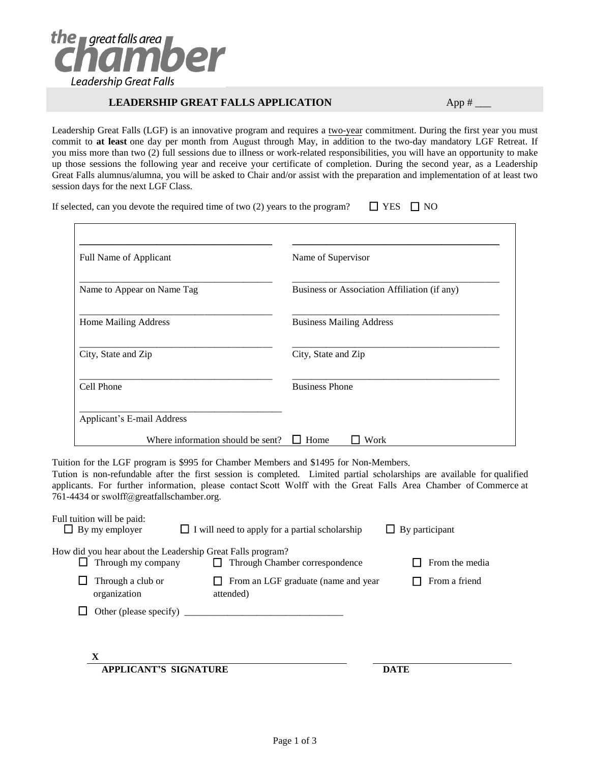

## **LEADERSHIP GREAT FALLS APPLICATION** App # \_\_\_

Leadership Great Falls (LGF) is an innovative program and requires a two-year commitment. During the first year you must commit to **at least** one day per month from August through May, in addition to the two-day mandatory LGF Retreat. If you miss more than two (2) full sessions due to illness or work-related responsibilities, you will have an opportunity to make up those sessions the following year and receive your certificate of completion. During the second year, as a Leadership Great Falls alumnus/alumna, you will be asked to Chair and/or assist with the preparation and implementation of at least two session days for the next LGF Class.

If selected, can you devote the required time of two (2) years to the program?  $\Box$  YES  $\Box$  NO

| Full Name of Applicant            | Name of Supervisor                           |
|-----------------------------------|----------------------------------------------|
| Name to Appear on Name Tag        | Business or Association Affiliation (if any) |
| Home Mailing Address              | <b>Business Mailing Address</b>              |
| City, State and Zip               | City, State and Zip                          |
| Cell Phone                        | <b>Business Phone</b>                        |
| Applicant's E-mail Address        |                                              |
| Where information should be sent? | Home<br>Work                                 |

Tuition for the LGF program is \$995 for Chamber Members and \$1495 for Non-Members.

Tution is non-refundable after the first session is completed. Limited partial scholarships are available for qualified applicants. For further information, please contact Scott Wolff with the Great Falls Area Chamber of Commerce at 761-4434 or swolff@greatfallschamber.org.

| Full tuition will be paid:<br>By my employer                                     | $\Box$ I will need to apply for a partial scholarship | $\Box$ By participant |
|----------------------------------------------------------------------------------|-------------------------------------------------------|-----------------------|
| How did you hear about the Leadership Great Falls program?<br>Through my company | Through Chamber correspondence                        | From the media        |
| Through a club or<br>organization                                                | From an LGF graduate (name and year<br>attended)      | From a friend         |
| Other (please specify)                                                           |                                                       |                       |
| X                                                                                |                                                       |                       |
| <b>APPLICANT'S SIGNATURE</b>                                                     |                                                       | <b>DATE</b>           |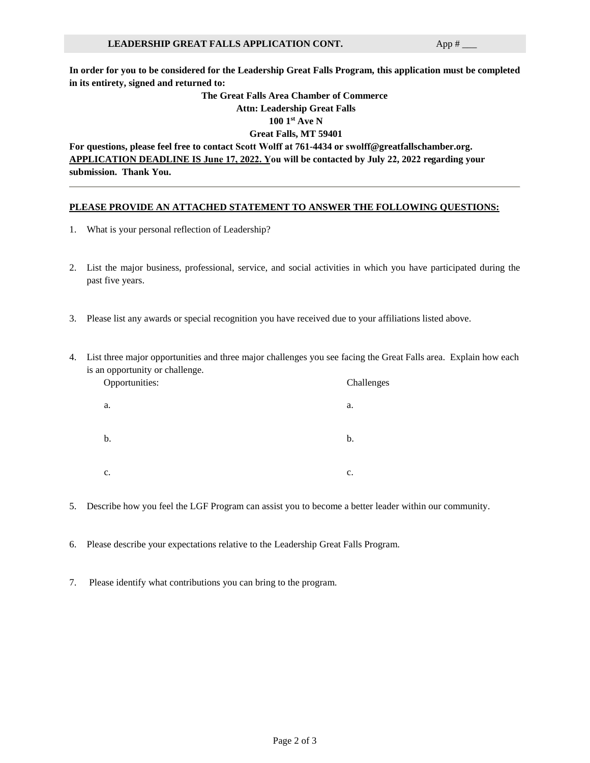**In order for you to be considered for the Leadership Great Falls Program, this application must be completed in its entirety, signed and returned to:**

## **The Great Falls Area Chamber of Commerce Attn: Leadership Great Falls 100 1 st Ave N**

**Great Falls, MT 59401**

**For questions, please feel free to contact Scott Wolff at 761-4434 or swolff@greatfallschamber.org. APPLICATION DEADLINE IS June 17, 2022. You will be contacted by July 22, 2022 regarding your submission. Thank You.**

## **PLEASE PROVIDE AN ATTACHED STATEMENT TO ANSWER THE FOLLOWING QUESTIONS:**

- 1. What is your personal reflection of Leadership?
- 2. List the major business, professional, service, and social activities in which you have participated during the past five years.
- 3. Please list any awards or special recognition you have received due to your affiliations listed above.
- 4. List three major opportunities and three major challenges you see facing the Great Falls area. Explain how each is an opportunity or challenge.

| Opportunities: | Challenges     |
|----------------|----------------|
| a.             | a.             |
| b.             | b.             |
| $\mathbf{c}$ . | $\mathbf{c}$ . |

- 5. Describe how you feel the LGF Program can assist you to become a better leader within our community.
- 6. Please describe your expectations relative to the Leadership Great Falls Program.
- 7. Please identify what contributions you can bring to the program.